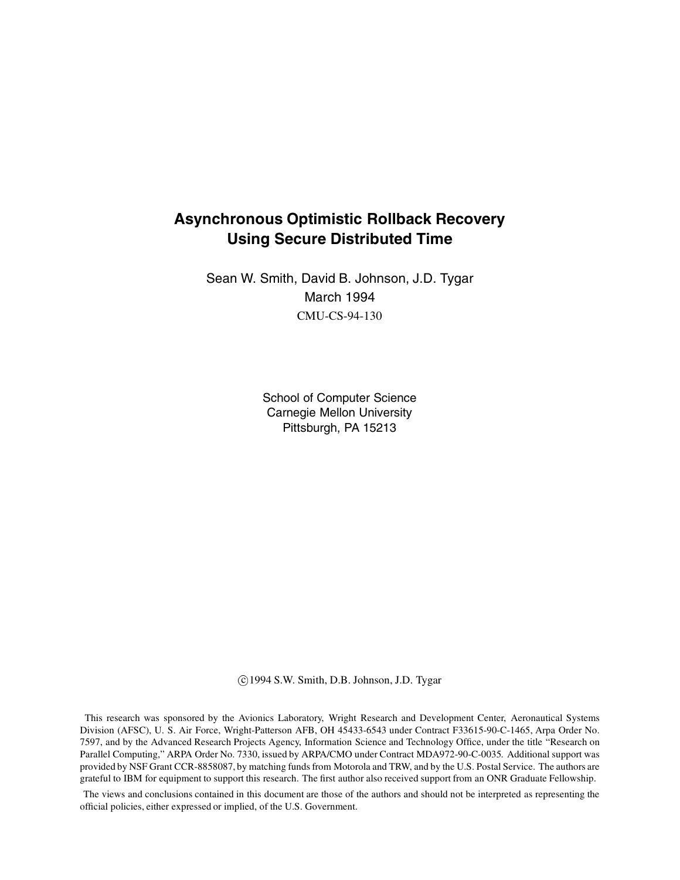# **Asynchronous Optimistic Rollback Recovery Using Secure Distributed Time**

Sean W. Smith, David B. Johnson, J.D. Tygar March 1994 CMU-CS-94-130

> School of Computer Science Carnegie Mellon University Pittsburgh, PA 15213

c 1994 S.W. Smith, D.B. Johnson, J.D. Tygar

This research was sponsored by the Avionics Laboratory, Wright Research and Development Center, Aeronautical Systems Division (AFSC), U. S. Air Force, Wright-Patterson AFB, OH 45433-6543 under Contract F33615-90-C-1465, Arpa Order No. 7597, and by the Advanced Research Projects Agency, Information Science and Technology Office, under the title "Research on Parallel Computing," ARPA Order No. 7330, issued by ARPA/CMO under Contract MDA972-90-C-0035. Additional support was provided by NSF Grant CCR-8858087, by matching funds from Motorola and TRW, and by the U.S. Postal Service. The authors are grateful to IBM for equipment to support this research. The first author also received support from an ONR Graduate Fellowship.

The views and conclusions contained in this document are those of the authors and should not be interpreted as representing the official policies, either expressed or implied, of the U.S. Government.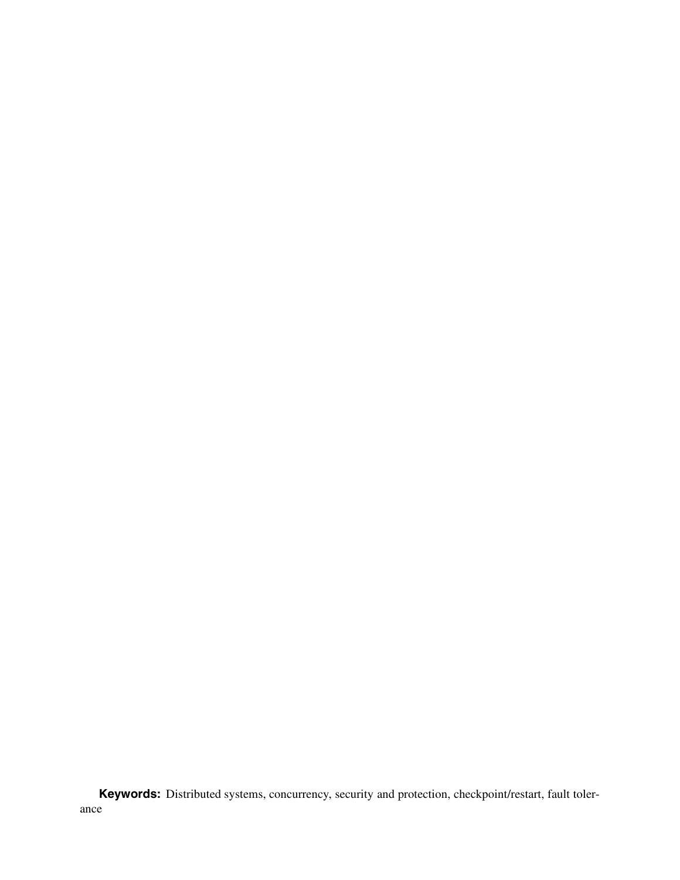**Keywords:** Distributed systems, concurrency, security and protection, checkpoint/restart, fault tolerance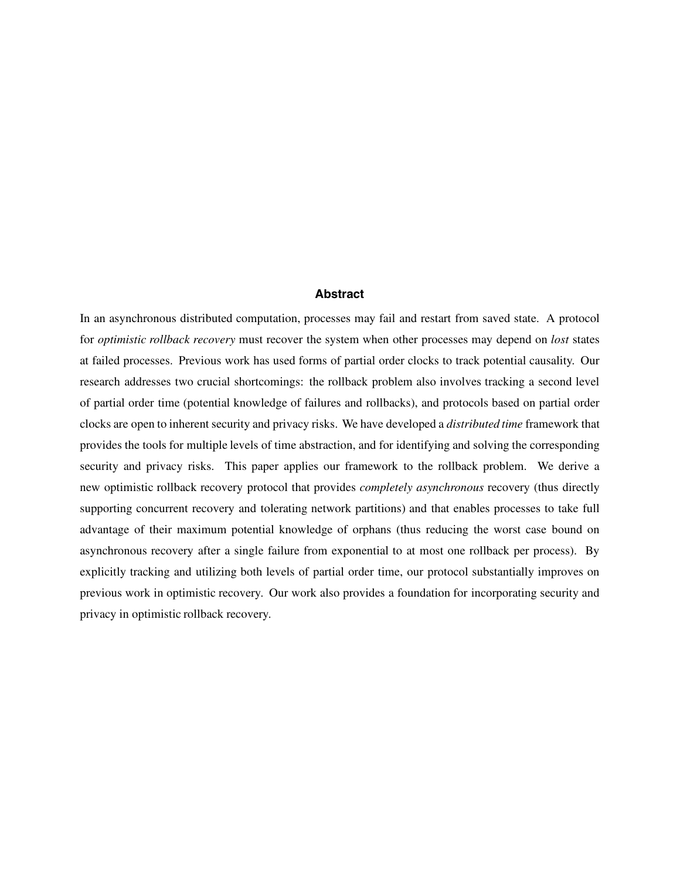#### **Abstract**

In an asynchronous distributed computation, processes may fail and restart from saved state. A protocol for *optimistic rollback recovery* must recover the system when other processes may depend on *lost* states at failed processes. Previous work has used forms of partial order clocks to track potential causality. Our research addresses two crucial shortcomings: the rollback problem also involves tracking a second level of partial order time (potential knowledge of failures and rollbacks), and protocols based on partial order clocks are open to inherent security and privacy risks. We have developed a *distributed time* framework that provides the tools for multiple levels of time abstraction, and for identifying and solving the corresponding security and privacy risks. This paper applies our framework to the rollback problem. We derive a new optimistic rollback recovery protocol that provides *completely asynchronous* recovery (thus directly supporting concurrent recovery and tolerating network partitions) and that enables processes to take full advantage of their maximum potential knowledge of orphans (thus reducing the worst case bound on asynchronous recovery after a single failure from exponential to at most one rollback per process). By explicitly tracking and utilizing both levels of partial order time, our protocol substantially improves on previous work in optimistic recovery. Our work also provides a foundation for incorporating security and privacy in optimistic rollback recovery.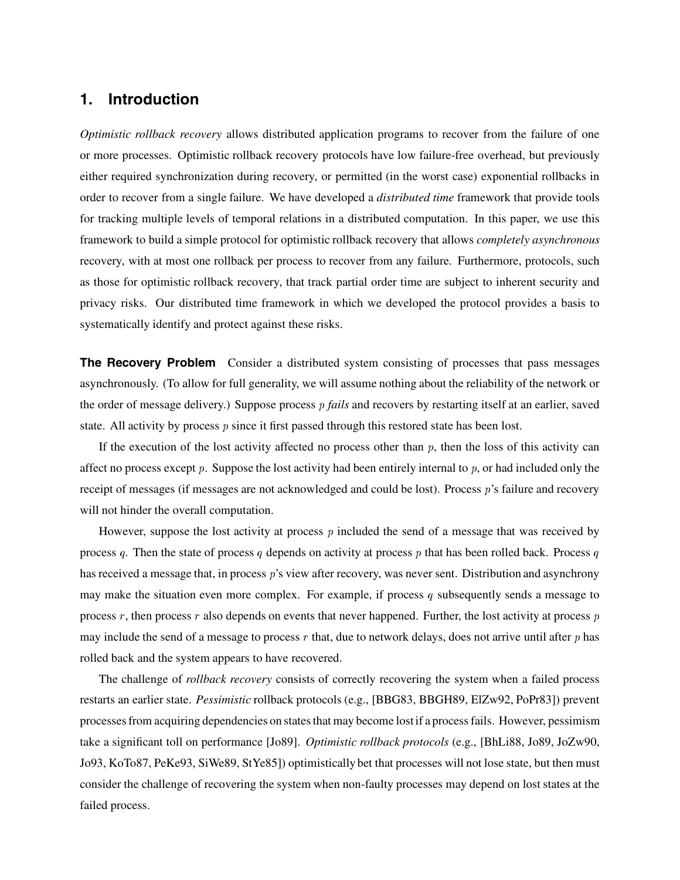# **1. Introduction**

*Optimistic rollback recovery* allows distributed application programs to recover from the failure of one or more processes. Optimistic rollback recovery protocols have low failure-free overhead, but previously either required synchronization during recovery, or permitted (in the worst case) exponential rollbacks in order to recover from a single failure. We have developed a *distributed time* framework that provide tools for tracking multiple levels of temporal relations in a distributed computation. In this paper, we use this framework to build a simple protocol for optimistic rollback recovery that allows *completely asynchronous* recovery, with at most one rollback per process to recover from any failure. Furthermore, protocols, such as those for optimistic rollback recovery, that track partial order time are subject to inherent security and privacy risks. Our distributed time framework in which we developed the protocol provides a basis to systematically identify and protect against these risks.

**The Recovery Problem** Consider a distributed system consisting of processes that pass messages asynchronously. (To allow for full generality, we will assume nothing about the reliability of the network or the order of message delivery.) Suppose process <sup>p</sup> *fails* and recovers by restarting itself at an earlier, saved state. All activity by process p since it first passed through this restored state has been lost.

If the execution of the lost activity affected no process other than  $p$ , then the loss of this activity can affect no process except  $p$ . Suppose the lost activity had been entirely internal to  $p$ , or had included only the receipt of messages (if messages are not acknowledged and could be lost). Process p's failure and recovery will not hinder the overall computation.

However, suppose the lost activity at process  $p$  included the send of a message that was received by process q. Then the state of process q depends on activity at process p that has been rolled back. Process q has received a message that, in process p's view after recovery, was never sent. Distribution and asynchrony may make the situation even more complex. For example, if process q subsequently sends a message to process  $r$ , then process  $r$  also depends on events that never happened. Further, the lost activity at process  $p$ may include the send of a message to process r that, due to network delays, does not arrive until after  $p$  has rolled back and the system appears to have recovered.

The challenge of *rollback recovery* consists of correctly recovering the system when a failed process restarts an earlier state. *Pessimistic* rollback protocols (e.g., [BBG83, BBGH89, ElZw92, PoPr83]) prevent processes from acquiring dependencies on states that may become lostif a process fails. However, pessimism take a significant toll on performance [Jo89]. *Optimistic rollback protocols* (e.g., [BhLi88, Jo89, JoZw90, Jo93, KoTo87, PeKe93, SiWe89, StYe85]) optimistically bet that processes will not lose state, but then must consider the challenge of recovering the system when non-faulty processes may depend on lost states at the failed process.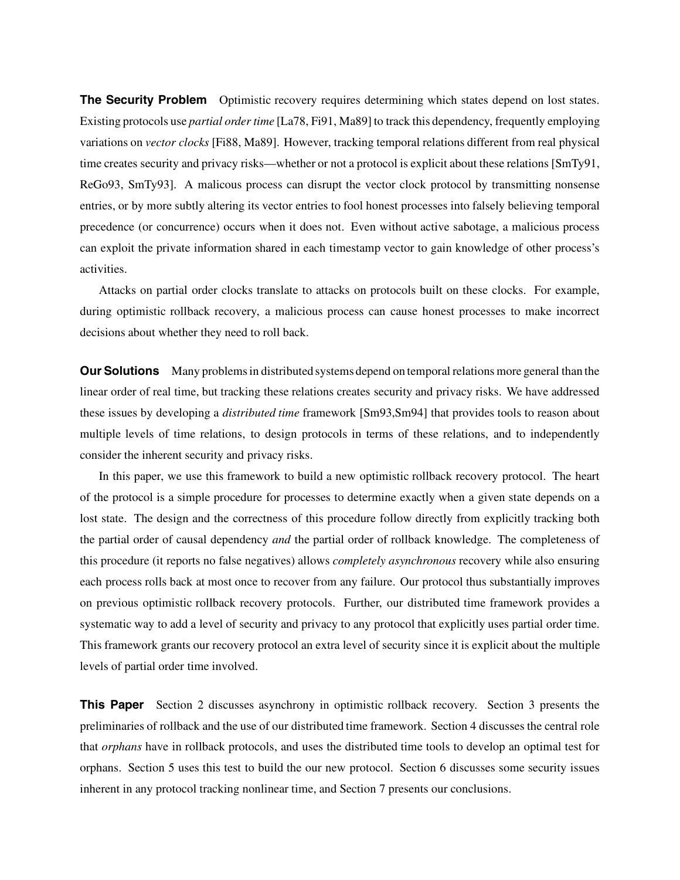**The Security Problem** Optimistic recovery requires determining which states depend on lost states. Existing protocols use *partial order time* [La78, Fi91, Ma89] to track this dependency, frequently employing variations on *vector clocks* [Fi88, Ma89]. However, tracking temporal relations different from real physical time creates security and privacy risks—whether or not a protocol is explicit about these relations [SmTy91, ReGo93, SmTy93]. A malicous process can disrupt the vector clock protocol by transmitting nonsense entries, or by more subtly altering its vector entries to fool honest processes into falsely believing temporal precedence (or concurrence) occurs when it does not. Even without active sabotage, a malicious process can exploit the private information shared in each timestamp vector to gain knowledge of other process's activities.

Attacks on partial order clocks translate to attacks on protocols built on these clocks. For example, during optimistic rollback recovery, a malicious process can cause honest processes to make incorrect decisions about whether they need to roll back.

**Our Solutions** Many problems in distributed systems depend on temporal relations more general than the linear order of real time, but tracking these relations creates security and privacy risks. We have addressed these issues by developing a *distributed time* framework [Sm93,Sm94] that provides tools to reason about multiple levels of time relations, to design protocols in terms of these relations, and to independently consider the inherent security and privacy risks.

In this paper, we use this framework to build a new optimistic rollback recovery protocol. The heart of the protocol is a simple procedure for processes to determine exactly when a given state depends on a lost state. The design and the correctness of this procedure follow directly from explicitly tracking both the partial order of causal dependency *and* the partial order of rollback knowledge. The completeness of this procedure (it reports no false negatives) allows *completely asynchronous* recovery while also ensuring each process rolls back at most once to recover from any failure. Our protocol thus substantially improves on previous optimistic rollback recovery protocols. Further, our distributed time framework provides a systematic way to add a level of security and privacy to any protocol that explicitly uses partial order time. This framework grants our recovery protocol an extra level of security since it is explicit about the multiple levels of partial order time involved.

**This Paper** Section 2 discusses asynchrony in optimistic rollback recovery. Section 3 presents the preliminaries of rollback and the use of our distributed time framework. Section 4 discusses the central role that *orphans* have in rollback protocols, and uses the distributed time tools to develop an optimal test for orphans. Section 5 uses this test to build the our new protocol. Section 6 discusses some security issues inherent in any protocol tracking nonlinear time, and Section 7 presents our conclusions.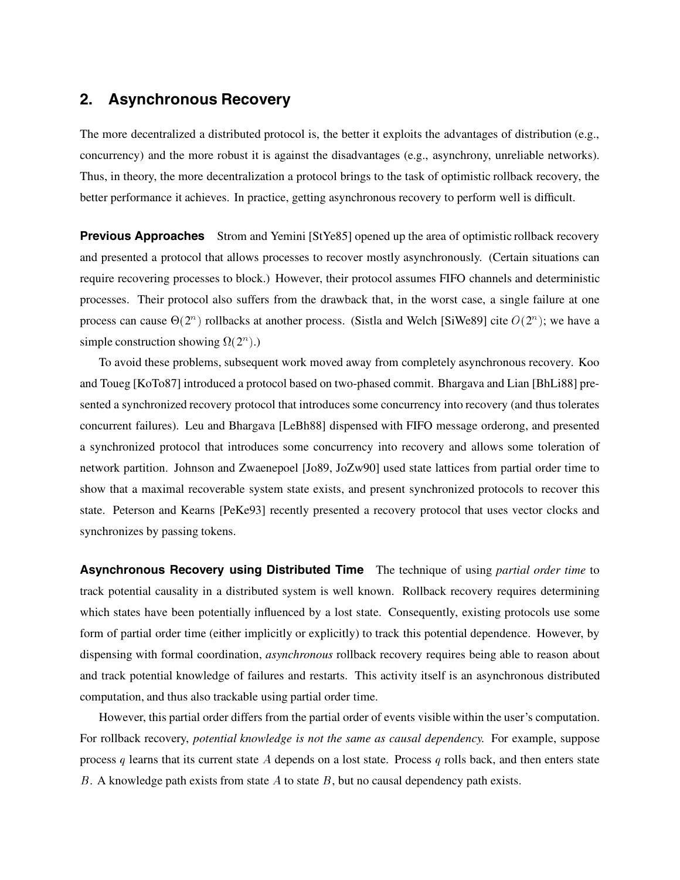## **2. Asynchronous Recovery**

The more decentralized a distributed protocol is, the better it exploits the advantages of distribution (e.g., concurrency) and the more robust it is against the disadvantages (e.g., asynchrony, unreliable networks). Thus, in theory, the more decentralization a protocol brings to the task of optimistic rollback recovery, the better performance it achieves. In practice, getting asynchronous recovery to perform well is difficult.

**Previous Approaches** Strom and Yemini [StYe85] opened up the area of optimistic rollback recovery and presented a protocol that allows processes to recover mostly asynchronously. (Certain situations can require recovering processes to block.) However, their protocol assumes FIFO channels and deterministic processes. Their protocol also suffers from the drawback that, in the worst case, a single failure at one process can cause  $\Theta(2^n)$  rollbacks at another process. (Sistla and Welch [SiWe89] cite  $O(2^n)$ ; we have a simple construction showing  $\Omega(2^n)$ .)

To avoid these problems, subsequent work moved away from completely asynchronous recovery. Koo and Toueg [KoTo87] introduced a protocol based on two-phased commit. Bhargava and Lian [BhLi88] presented a synchronized recovery protocol that introduces some concurrency into recovery (and thus tolerates concurrent failures). Leu and Bhargava [LeBh88] dispensed with FIFO message orderong, and presented a synchronized protocol that introduces some concurrency into recovery and allows some toleration of network partition. Johnson and Zwaenepoel [Jo89, JoZw90] used state lattices from partial order time to show that a maximal recoverable system state exists, and present synchronized protocols to recover this state. Peterson and Kearns [PeKe93] recently presented a recovery protocol that uses vector clocks and synchronizes by passing tokens.

**Asynchronous Recovery using Distributed Time** The technique of using *partial order time* to track potential causality in a distributed system is well known. Rollback recovery requires determining which states have been potentially influenced by a lost state. Consequently, existing protocols use some form of partial order time (either implicitly or explicitly) to track this potential dependence. However, by dispensing with formal coordination, *asynchronous* rollback recovery requires being able to reason about and track potential knowledge of failures and restarts. This activity itself is an asynchronous distributed computation, and thus also trackable using partial order time.

However, this partial order differs from the partial order of events visible within the user's computation. For rollback recovery, *potential knowledge is not the same as causal dependency.* For example, suppose process q learns that its current state A depends on a lost state. Process q rolls back, and then enters state B. A knowledge path exists from state  $A$  to state  $B$ , but no causal dependency path exists.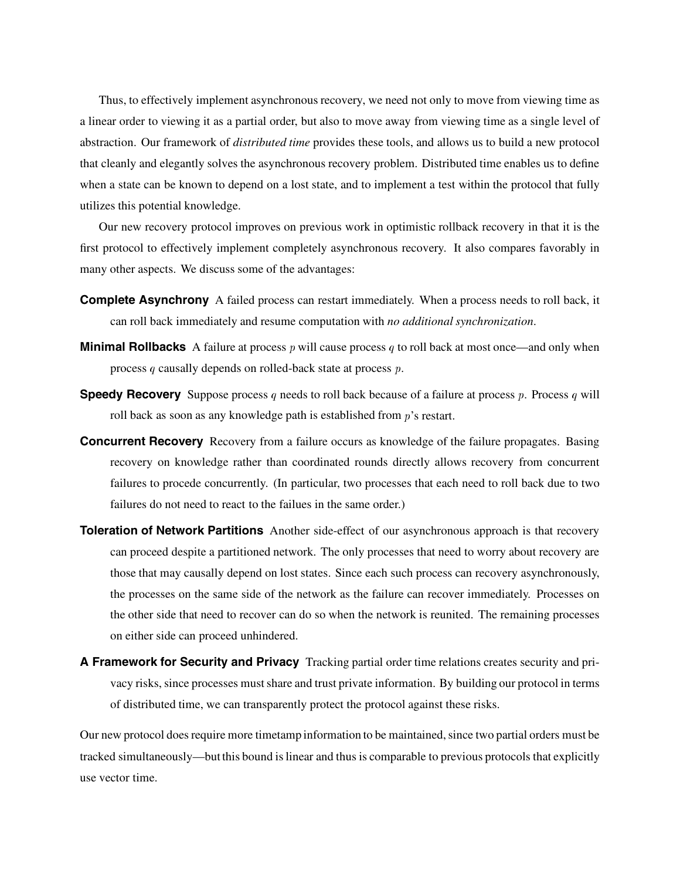Thus, to effectively implement asynchronous recovery, we need not only to move from viewing time as a linear order to viewing it as a partial order, but also to move away from viewing time as a single level of abstraction. Our framework of *distributed time* provides these tools, and allows us to build a new protocol that cleanly and elegantly solves the asynchronous recovery problem. Distributed time enables us to define when a state can be known to depend on a lost state, and to implement a test within the protocol that fully utilizes this potential knowledge.

Our new recovery protocol improves on previous work in optimistic rollback recovery in that it is the first protocol to effectively implement completely asynchronous recovery. It also compares favorably in many other aspects. We discuss some of the advantages:

- **Complete Asynchrony** A failed process can restart immediately. When a process needs to roll back, it can roll back immediately and resume computation with *no additional synchronization*.
- **Minimal Rollbacks** A failure at process p will cause process q to roll back at most once—and only when process q causally depends on rolled-back state at process p.
- **Speedy Recovery** Suppose process q needs to roll back because of a failure at process p. Process q will roll back as soon as any knowledge path is established from  $p$ 's restart.
- **Concurrent Recovery** Recovery from a failure occurs as knowledge of the failure propagates. Basing recovery on knowledge rather than coordinated rounds directly allows recovery from concurrent failures to procede concurrently. (In particular, two processes that each need to roll back due to two failures do not need to react to the failues in the same order.)
- **Toleration of Network Partitions** Another side-effect of our asynchronous approach is that recovery can proceed despite a partitioned network. The only processes that need to worry about recovery are those that may causally depend on lost states. Since each such process can recovery asynchronously, the processes on the same side of the network as the failure can recover immediately. Processes on the other side that need to recover can do so when the network is reunited. The remaining processes on either side can proceed unhindered.
- **A Framework for Security and Privacy** Tracking partial order time relations creates security and privacy risks, since processes must share and trust private information. By building our protocol in terms of distributed time, we can transparently protect the protocol against these risks.

Our new protocol does require more timetamp information to be maintained, since two partial orders must be tracked simultaneously—butthis bound is linear and thus is comparable to previous protocols that explicitly use vector time.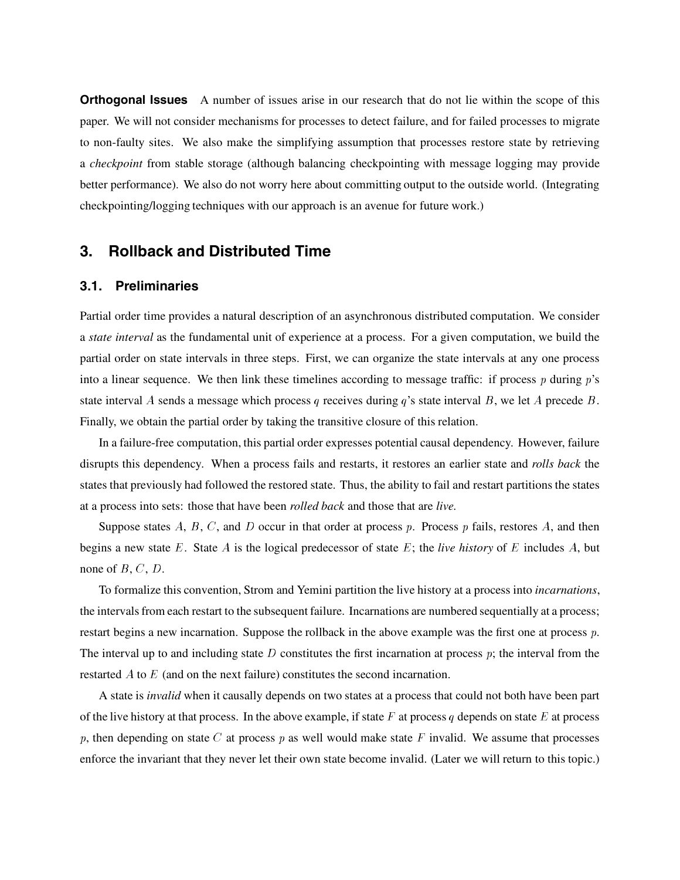**Orthogonal Issues** A number of issues arise in our research that do not lie within the scope of this paper. We will not consider mechanisms for processes to detect failure, and for failed processes to migrate to non-faulty sites. We also make the simplifying assumption that processes restore state by retrieving a *checkpoint* from stable storage (although balancing checkpointing with message logging may provide better performance). We also do not worry here about committing output to the outside world. (Integrating checkpointing/logging techniques with our approach is an avenue for future work.)

## **3. Rollback and Distributed Time**

#### **3.1. Preliminaries**

Partial order time provides a natural description of an asynchronous distributed computation. We consider a *state interval* as the fundamental unit of experience at a process. For a given computation, we build the partial order on state intervals in three steps. First, we can organize the state intervals at any one process into a linear sequence. We then link these timelines according to message traffic: if process  $p$  during  $p$ 's state interval A sends a message which process q receives during  $q$ 's state interval B, we let A precede B. Finally, we obtain the partial order by taking the transitive closure of this relation.

In a failure-free computation, this partial order expresses potential causal dependency. However, failure disrupts this dependency. When a process fails and restarts, it restores an earlier state and *rolls back* the states that previously had followed the restored state. Thus, the ability to fail and restart partitions the states at a process into sets: those that have been *rolled back* and those that are *live.*

Suppose states A, B, C, and D occur in that order at process p. Process p fails, restores A, and then begins a new state E. State A is the logical predecessor of state E; the *live history* of E includes A, but none of  $B, C, D$ .

To formalize this convention, Strom and Yemini partition the live history at a process into *incarnations*, the intervals from each restart to the subsequent failure. Incarnations are numbered sequentially at a process; restart begins a new incarnation. Suppose the rollback in the above example was the first one at process p. The interval up to and including state D constitutes the first incarnation at process  $p$ ; the interval from the restarted A to E (and on the next failure) constitutes the second incarnation.

A state is *invalid* when it causally depends on two states at a process that could not both have been part of the live history at that process. In the above example, if state F at process q depends on state E at process p, then depending on state C at process p as well would make state F invalid. We assume that processes enforce the invariant that they never let their own state become invalid. (Later we will return to this topic.)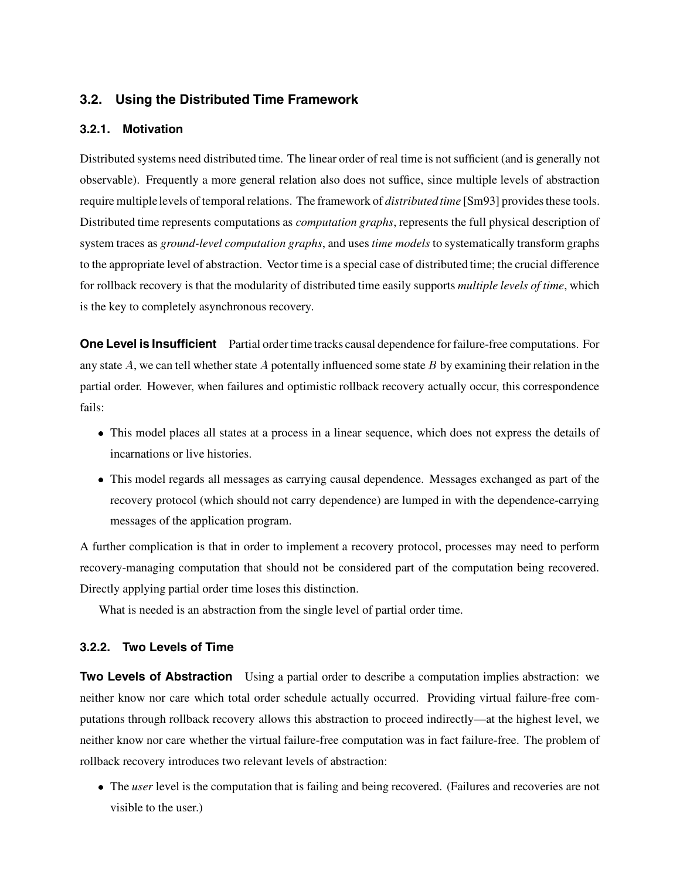### **3.2. Using the Distributed Time Framework**

#### **3.2.1. Motivation**

Distributed systems need distributed time. The linear order of real time is not sufficient (and is generally not observable). Frequently a more general relation also does not suffice, since multiple levels of abstraction require multiplelevels of temporal relations. The framework of *distributed time* [Sm93] provides these tools. Distributed time represents computations as *computation graphs*, represents the full physical description of system traces as *ground-level computation graphs*, and uses *time models* to systematically transform graphs to the appropriate level of abstraction. Vector time is a special case of distributed time; the crucial difference for rollback recovery is that the modularity of distributed time easily supports *multiple levels of time*, which is the key to completely asynchronous recovery.

**One Level is Insufficient** Partial order time tracks causal dependence for failure-free computations. For any state  $A$ , we can tell whether state  $A$  potentally influenced some state  $B$  by examining their relation in the partial order. However, when failures and optimistic rollback recovery actually occur, this correspondence fails:

- This model places all states at a process in a linear sequence, which does not express the details of incarnations or live histories.
- This model regards all messages as carrying causal dependence. Messages exchanged as part of the recovery protocol (which should not carry dependence) are lumped in with the dependence-carrying messages of the application program.

A further complication is that in order to implement a recovery protocol, processes may need to perform recovery-managing computation that should not be considered part of the computation being recovered. Directly applying partial order time loses this distinction.

What is needed is an abstraction from the single level of partial order time.

#### **3.2.2. Two Levels of Time**

**Two Levels of Abstraction** Using a partial order to describe a computation implies abstraction: we neither know nor care which total order schedule actually occurred. Providing virtual failure-free computations through rollback recovery allows this abstraction to proceed indirectly—at the highest level, we neither know nor care whether the virtual failure-free computation was in fact failure-free. The problem of rollback recovery introduces two relevant levels of abstraction:

• The *user* level is the computation that is failing and being recovered. (Failures and recoveries are not visible to the user.)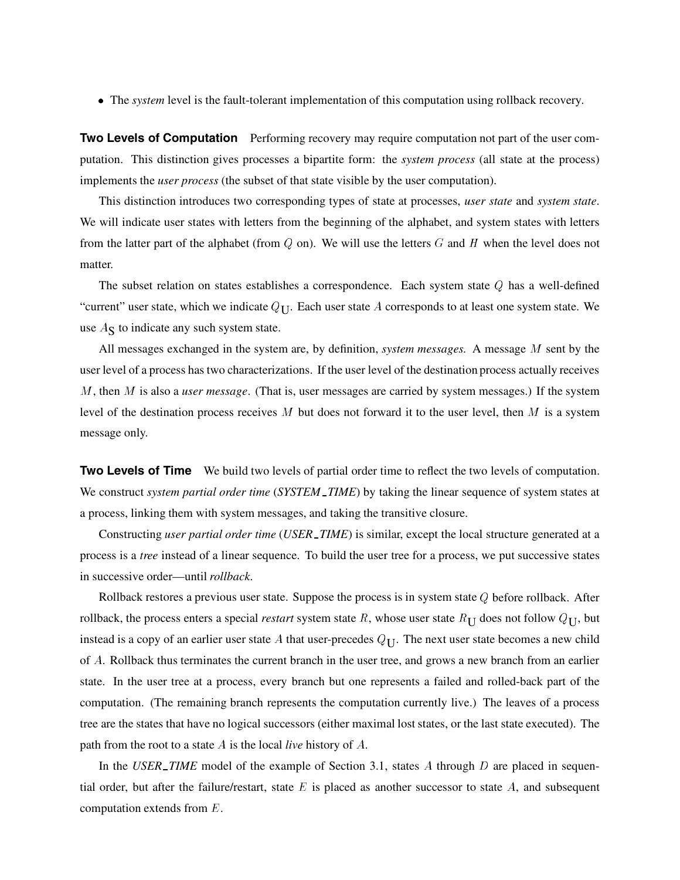The *system* level is the fault-tolerant implementation of this computation using rollback recovery.

**Two Levels of Computation** Performing recovery may require computation not part of the user computation. This distinction gives processes a bipartite form: the *system process* (all state at the process) implements the *user process* (the subset of that state visible by the user computation).

This distinction introduces two corresponding types of state at processes, *user state* and *system state*. We will indicate user states with letters from the beginning of the alphabet, and system states with letters from the latter part of the alphabet (from  $Q$  on). We will use the letters  $G$  and  $H$  when the level does not matter.

The subset relation on states establishes a correspondence. Each system state Q has a well-defined "current" user state, which we indicate  $Q_{\text{U}}$ . Each user state A corresponds to at least one system state. We use  $A_{\rm S}$  to indicate any such system state.

All messages exchanged in the system are, by definition, *system messages.* A message M sent by the user level of a process has two characterizations. If the user level of the destination process actually receives M, then M is also a *user message*. (That is, user messages are carried by system messages.) If the system level of the destination process receives M but does not forward it to the user level, then M is a system message only.

**Two Levels of Time** We build two levels of partial order time to reflect the two levels of computation. We construct *system partial order time* (*SYSTEM TIME*) by taking the linear sequence of system states at a process, linking them with system messages, and taking the transitive closure.

Constructing *user partial order time* (*USER TIME*) is similar, except the local structure generated at a process is a *tree* instead of a linear sequence. To build the user tree for a process, we put successive states in successive order—until *rollback*.

Rollback restores a previous user state. Suppose the process is in system state Q before rollback. After rollback, the process enters a special *restart* system state R, whose user state  $R_U$  does not follow  $Q_U$ , but instead is a copy of an earlier user state A that user-precedes  $Q_U$ . The next user state becomes a new child of A. Rollback thus terminates the current branch in the user tree, and grows a new branch from an earlier state. In the user tree at a process, every branch but one represents a failed and rolled-back part of the computation. (The remaining branch represents the computation currently live.) The leaves of a process tree are the states that have no logical successors (either maximal lost states, or the last state executed). The path from the root to a state A is the local *live* history of A.

In the *USER TIME* model of the example of Section 3.1, states A through D are placed in sequential order, but after the failure/restart, state  $E$  is placed as another successor to state  $A$ , and subsequent computation extends from E.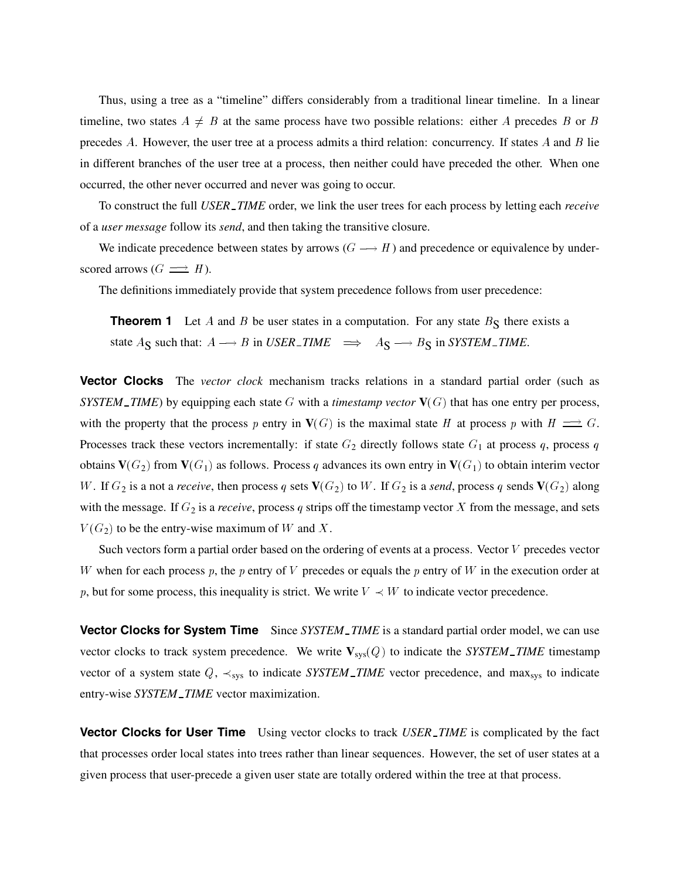Thus, using a tree as a "timeline" differs considerably from a traditional linear timeline. In a linear timeline, two states  $A \neq B$  at the same process have two possible relations: either A precedes B or B precedes A. However, the user tree at a process admits a third relation: concurrency. If states  $A$  and  $B$  lie in different branches of the user tree at a process, then neither could have preceded the other. When one occurred, the other never occurred and never was going to occur.

To construct the full *USER TIME* order, we link the user trees for each process by letting each *receive* of a *user message* follow its *send*, and then taking the transitive closure.

We indicate precedence between states by arrows  $(G \rightarrow H)$  and precedence or equivalence by underscored arrows  $(G \implies H)$ .

The definitions immediately provide that system precedence follows from user precedence:

**Theorem 1** Let A and B be user states in a computation. For any state  $B<sub>S</sub>$  there exists a state  $A_S$  such that:  $A \rightarrow B$  in *USER\_TIME*  $\implies A_S \rightarrow B_S$  in *SYSTEM\_TIME*.

**Vector Clocks** The *vector clock* mechanism tracks relations in a standard partial order (such as *SYSTEM TIME*) by equipping each state G with a *timestamp vector*  $V(G)$  that has one entry per process, with the property that the process p entry in  $V(G)$  is the maximal state H at process p with  $H \implies G$ . Processes track these vectors incrementally: if state  $G_2$  directly follows state  $G_1$  at process q, process q obtains  $\mathbf{V}(G_2)$  from  $\mathbf{V}(G_1)$  as follows. Process q advances its own entry in  $\mathbf{V}(G_1)$  to obtain interim vector  $W$ . If  $G_2$  is a not a *receive*, then process  $q$  sets  $\mathbf{V}(G_2)$  to  $W$ . If  $G_2$  is a *send*, process  $q$  sends  $\mathbf{V}(G_2)$  along with the message. If  $G_2$  is a *receive*, process q strips off the timestamp vector X from the message, and sets  $V(G_2)$  to be the entry-wise maximum of W and X.

Such vectors form a partial order based on the ordering of events at a process. Vector V precedes vector W when for each process p, the p entry of V precedes or equals the p entry of W in the execution order at p, but for some process, this inequality is strict. We write  $V \prec W$  to indicate vector precedence.

**Vector Clocks for System Time** Since *SYSTEM\_TIME* is a standard partial order model, we can use vector clocks to track system precedence. We write  $V_{sys}(Q)$  to indicate the *SYSTEM TIME* timestamp vector of a system state  $Q$ ,  $\prec_{sys}$  to indicate *SYSTEM\_TIME* vector precedence, and max<sub>sys</sub> to indicate entry-wise *SYSTEM TIME* vector maximization.

**Vector Clocks for User Time** Using vector clocks to track *USER TIME* is complicated by the fact that processes order local states into trees rather than linear sequences. However, the set of user states at a given process that user-precede a given user state are totally ordered within the tree at that process.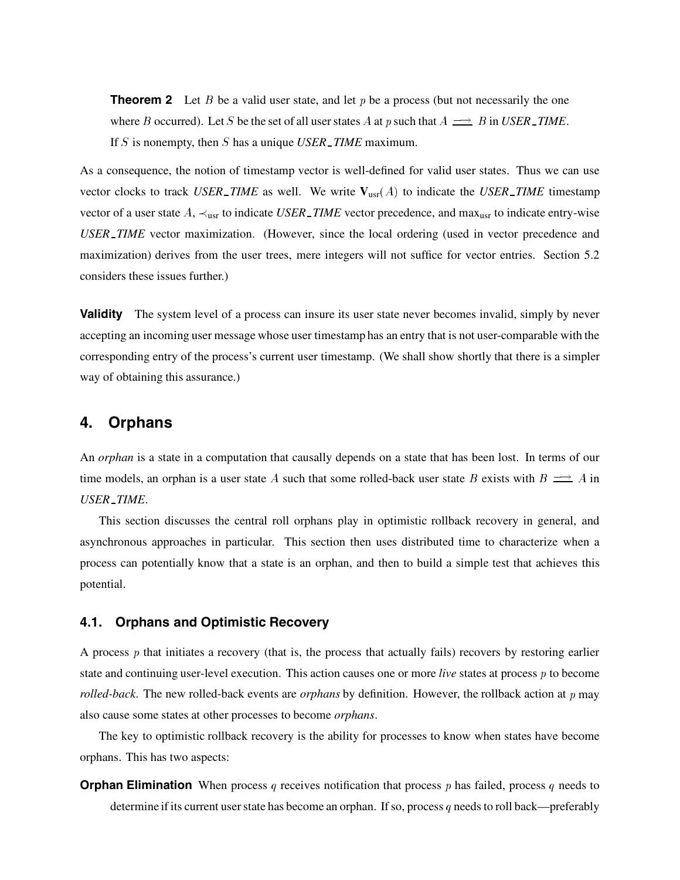**Theorem 2** Let B be a valid user state, and let p be a process (but not necessarily the one where B occurred). Let S be the set of all user states A at p such that  $A \implies B$  in *USER\_TIME*. If S is nonempty, then S has a unique *USER TIME* maximum.

As a consequence, the notion of timestamp vector is well-defined for valid user states. Thus we can use vector clocks to track *USER TIME* as well. We write  $V_{\text{usr}}(A)$  to indicate the *USER TIME* timestamp vector of a user state  $A$ ,  $\prec_{\text{usr}}$  to indicate *USER TIME* vector precedence, and max<sub>usr</sub> to indicate entry-wise *USER TIME* vector maximization. (However, since the local ordering (used in vector precedence and maximization) derives from the user trees, mere integers will not suffice for vector entries. Section 5.2 considers these issues further.)

**Validity** The system level of a process can insure its user state never becomes invalid, simply by never accepting an incoming user message whose user timestamp has an entry that is not user-comparable with the corresponding entry of the process's current user timestamp. (We shall show shortly that there is a simpler way of obtaining this assurance.)

## **4. Orphans**

An *orphan* is a state in a computation that causally depends on a state that has been lost. In terms of our time models, an orphan is a user state A such that some rolled-back user state B exists with  $B \implies A$  in *USER TIME*.

This section discusses the central roll orphans play in optimistic rollback recovery in general, and asynchronous approaches in particular. This section then uses distributed time to characterize when a process can potentially know that a state is an orphan, and then to build a simple test that achieves this potential.

#### **4.1. Orphans and Optimistic Recovery**

A process p that initiates a recovery (that is, the process that actually fails) recovers by restoring earlier state and continuing user-level execution. This action causes one or more *live* states at process p to become *rolled-back*. The new rolled-back events are *orphans* by definition. However, the rollback action at p may also cause some states at other processes to become *orphans*.

The key to optimistic rollback recovery is the ability for processes to know when states have become orphans. This has two aspects:

**Orphan Elimination** When process q receives notification that process p has failed, process q needs to determine if its current user state has become an orphan. If so, process  $q$  needs to roll back—preferably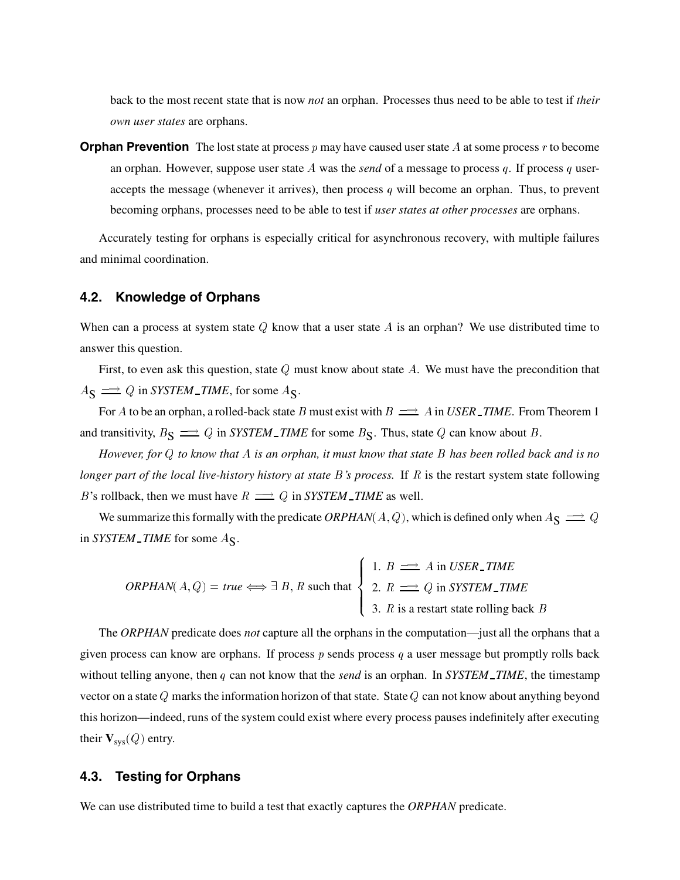back to the most recent state that is now *not* an orphan. Processes thus need to be able to test if *their own user states* are orphans.

**Orphan Prevention** The lost state at process  $p$  may have caused user state  $A$  at some process  $r$  to become an orphan. However, suppose user state <sup>A</sup> was the *send* of a message to process <sup>q</sup>. If process <sup>q</sup> useraccepts the message (whenever it arrives), then process  $q$  will become an orphan. Thus, to prevent becoming orphans, processes need to be able to test if *user states at other processes* are orphans.

Accurately testing for orphans is especially critical for asynchronous recovery, with multiple failures and minimal coordination.

#### **4.2. Knowledge of Orphans**

When can a process at system state  $Q$  know that a user state  $A$  is an orphan? We use distributed time to answer this question.

First, to even ask this question, state  $Q$  must know about state  $A$ . We must have the precondition that  $A_{\mathbf{S}} \longrightarrow Q$  in *SYSTEM\_TIME*, for some  $A_{\mathbf{S}}$ .

For A to be an orphan, a rolled-back state B must exist with  $B \implies A$  in *USER\_TIME*. From Theorem 1 and transitivity,  $B_S \implies Q$  in *SYSTEM\_TIME* for some  $B_S$ . Thus, state Q can know about B.

*However, for* Q *to know that* A *is an orphan, it must know that state* B *has been rolled back and is no longer part of the local live-history history at state* B*'s process.* If R is the restart system state following B's rollback, then we must have  $R \implies Q$  in *SYSTEM\_TIME* as well.

We summarize this formally with the predicate  $ORPHAN(A,Q)$ , which is defined only when  $A_S \rightrightarrows Q$ in *SYSTEM* TIME for some  $A_S$ .

the contract of the contract of the contract of the contract of the contract of the contract of the contract of

*ORPHAN*(*A, Q*) = *true* 
$$
\Longleftrightarrow
$$
 ∃ *B*, *R* such that  
\n
$$
\begin{cases}\n1. B \implies A \text{ in } USER\_TIME \\
2. R \implies Q \text{ in } SYSTEM\_TIME \\
3. R \text{ is a restart state rolling back } B\n\end{cases}
$$

The *ORPHAN* predicate does *not* capture all the orphans in the computation—just all the orphans that a given process can know are orphans. If process  $p$  sends process  $q$  a user message but promptly rolls back without telling anyone, then q can not know that the *send* is an orphan. In *SYSTEM TIME*, the timestamp vector on a state Q marks the information horizon of that state. State Q can not know about anything beyond this horizon—indeed, runs of the system could exist where every process pauses indefinitely after executing their  $V_{sys}(Q)$  entry.

#### **4.3. Testing for Orphans**

We can use distributed time to build a test that exactly captures the *ORPHAN* predicate.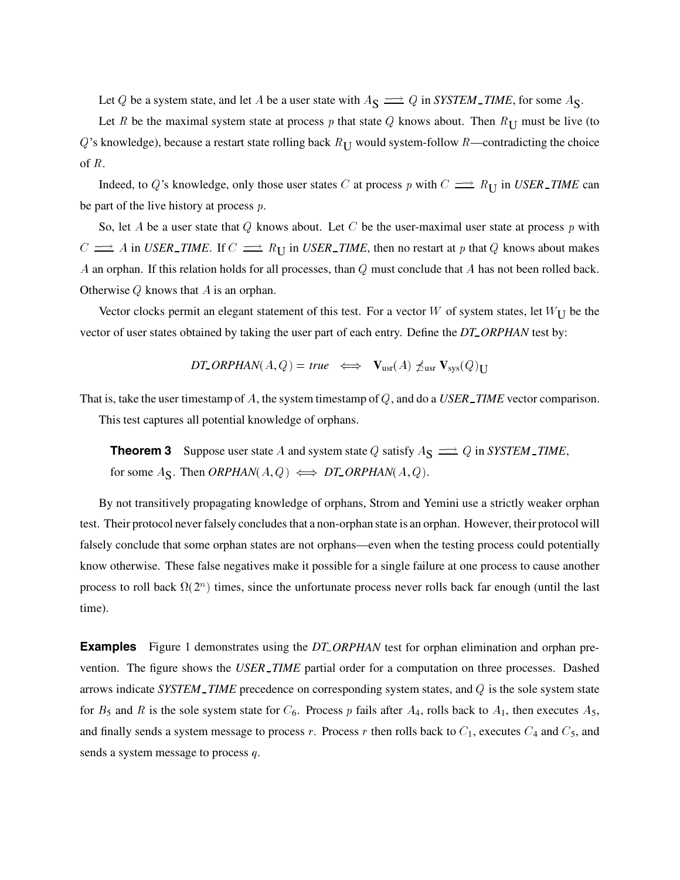Let Q be a system state, and let A be a user state with  $A_S \implies Q$  in *SYSTEM TIME*, for some  $A_S$ .

Let R be the maximal system state at process p that state Q knows about. Then  $R_{\text{U}}$  must be live (to Q's knowledge), because a restart state rolling back  $R_{II}$  would system-follow R—contradicting the choice of <sup>R</sup>.

Indeed, to Q's knowledge, only those user states C at process p with  $C \implies R_{\text{U}}$  in *USER TIME* can be part of the live history at process <sup>p</sup>.

So, let A be a user state that Q knows about. Let C be the user-maximal user state at process p with  $C \implies A$  in *USER\_TIME*. If  $C \implies R_{\text{U}}$  in *USER\_TIME*, then no restart at p that Q knows about makes A an orphan. If this relation holds for all processes, than  $Q$  must conclude that  $A$  has not been rolled back. Otherwise <sup>Q</sup> knows that <sup>A</sup> is an orphan.

Vector clocks permit an elegant statement of this test. For a vector W of system states, let  $W_{\text{U}}$  be the vector of user states obtained by taking the user part of each entry. Define the *DT ORPHAN* test by:

$$
DT\_ORPHAN(A,Q) = true \iff \mathbf{V}_{usr}(A) \npreceq_{usr} \mathbf{V}_{sys}(Q)_{\mathbf{U}}
$$

That is, take the user timestamp of A, the system timestamp of Q, and do a *USER TIME* vector comparison. This test captures all potential knowledge of orphans.

**Theorem 3** Suppose user state A and system state Q satisfy  $A_S \implies Q$  in *SYSTEM\_TIME*, for some  $A_{\mathbf{S}}$ . Then *ORPHAN* $(A, Q) \iff DT\_ORPHAN(A, Q)$ .

By not transitively propagating knowledge of orphans, Strom and Yemini use a strictly weaker orphan test. Their protocol never falsely concludes that a non-orphan state is an orphan. However, their protocol will falsely conclude that some orphan states are not orphans—even when the testing process could potentially know otherwise. These false negatives make it possible for a single failure at one process to cause another process to roll back  $\Omega(2^n)$  times, since the unfortunate process never rolls back far enough (until the last time).

**Examples** Figure 1 demonstrates using the *DT\_ORPHAN* test for orphan elimination and orphan prevention. The figure shows the *USER TIME* partial order for a computation on three processes. Dashed arrows indicate *SYSTEM TIME* precedence on corresponding system states, and Q is the sole system state for  $B_5$  and R is the sole system state for  $C_6$ . Process p fails after  $A_4$ , rolls back to  $A_1$ , then executes  $A_5$ , and finally sends a system message to process r. Process r then rolls back to  $C_1$ , executes  $C_4$  and  $C_5$ , and sends a system message to process q.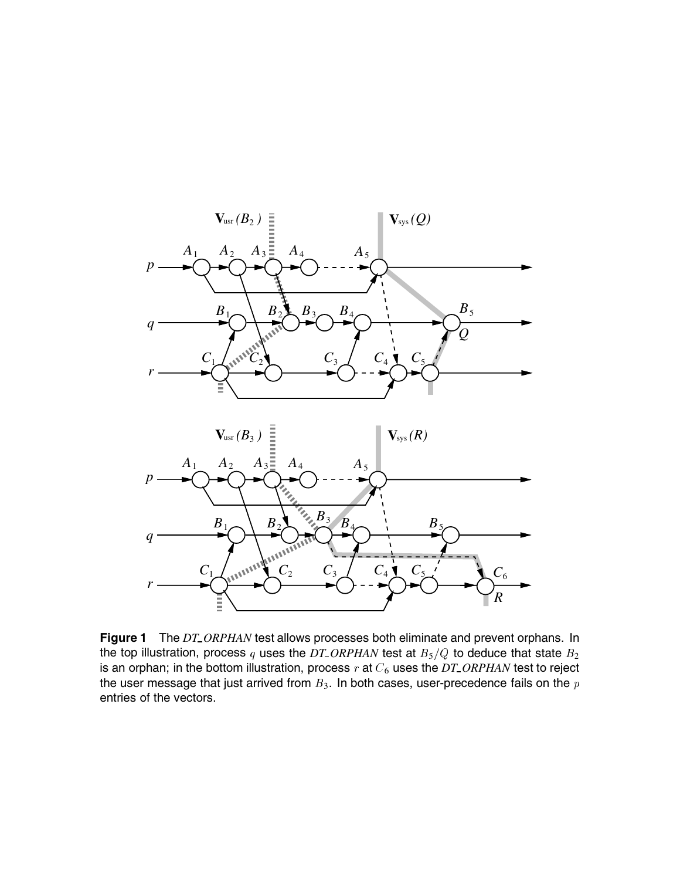

**Figure 1** The *DT\_ORPHAN* test allows processes both eliminate and prevent orphans. In the top illustration, process q uses the  $DT\_ORPHAN$  test at  $B_5/Q$  to deduce that state  $B_2$ is an orphan; in the bottom illustration, process r at  $C_6$  uses the *DT\_ORPHAN* test to reject the user message that just arrived from  $B_3$ . In both cases, user-precedence fails on the  $p$ entries of the vectors.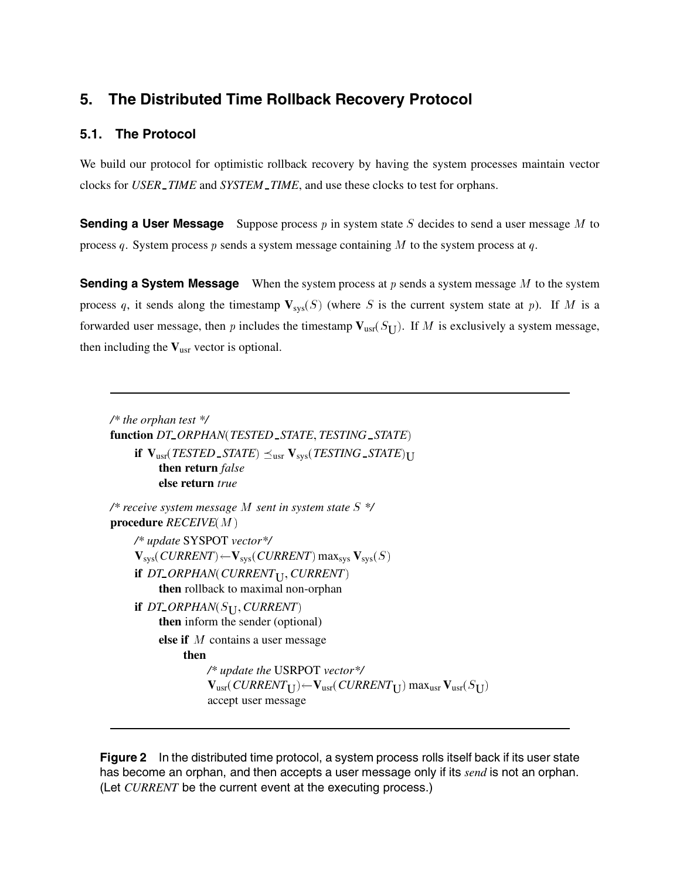# **5. The Distributed Time Rollback Recovery Protocol**

## **5.1. The Protocol**

We build our protocol for optimistic rollback recovery by having the system processes maintain vector clocks for *USER TIME* and *SYSTEM TIME*, and use these clocks to test for orphans.

**Sending a User Message** Suppose process p in system state S decides to send a user message M to process q. System process p sends a system message containing M to the system process at q.

**Sending a System Message** When the system process at p sends a system message M to the system process q, it sends along the timestamp  $V_{sys}(S)$  (where S is the current system state at p). If M is a forwarded user message, then p includes the timestamp  $V_{\text{usr}}(S_U)$ . If M is exclusively a system message, then including the **V**usr vector is optional.

*/\* the orphan test \*/* **function** *DT ORPHAN*-*TESTED STATE*- *TESTING STATE*  $\textbf{if} \ \mathbf{V}_{\text{usr}}(TESTED\_STATE) \preceq_{\text{usr}} \mathbf{V}_{\text{sys}}(TESTING\_STATE)_{\text{U}}$ **then return** *false* **else return** *true*

*/\* receive system message* M *sent in system state* S *\*/*  $\boldsymbol{\mathsf{procedure}}$   $\boldsymbol{\mathit{RECEIVE}}(M)$ */\* update* SYSPOT *vector\*/*  $\mathbf{V}_{\text{sys}}(\textit{CURRENT})$   $\leftarrow$   $\mathbf{V}_{\text{sys}}(\textit{CURRENT})$   $\max_{\text{sys}} \mathbf{V}_{\text{sys}}(S)$ if  $DT\_ORPHAN(CURRENT_{\bigcup}, CURRENT)$ **then** rollback to maximal non-orphan if DT\_ORPHAN(S<sub>U</sub>, CURRENT) **then** inform the sender (optional) **else if** M contains a user message **then** */\* update the* USRPOT *vector\*/*  $\mathbf{V}_{\text{usr}}(\textit{CURRENT}_{\textbf{U}})$   $\leftarrow$   $\mathbf{V}_{\text{usr}}(\textit{CURRENT}_{\textbf{U}})$  max $_{\text{usr}}$   $\mathbf{V}_{\text{usr}}(S_{\textbf{U}})$ accept user message

**Figure 2** In the distributed time protocol, a system process rolls itself back if its user state has become an orphan, and then accepts a user message only if its *send* is not an orphan. (Let *CURRENT* be the current event at the executing process.)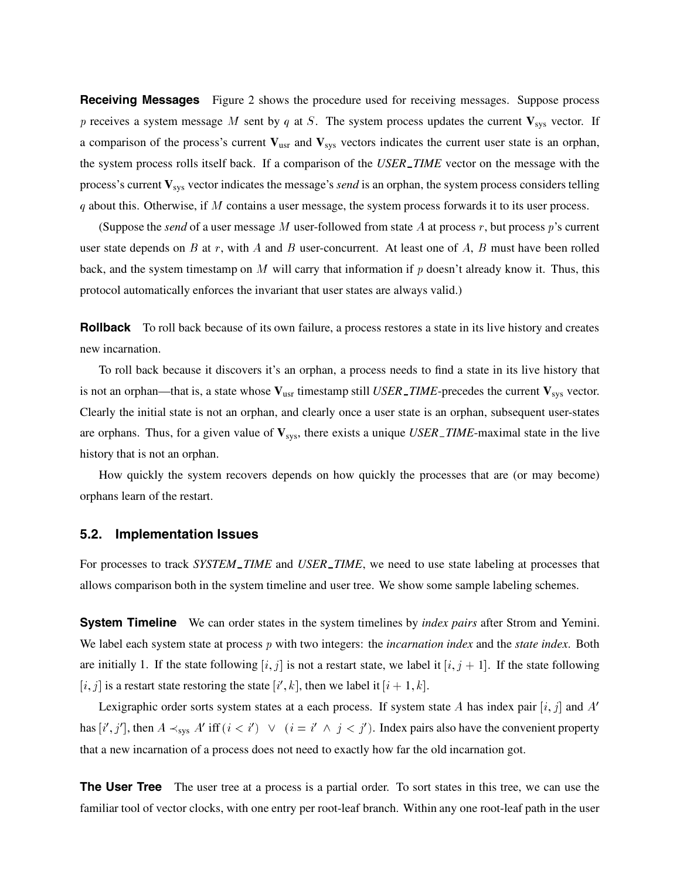**Receiving Messages** Figure 2 shows the procedure used for receiving messages. Suppose process p receives a system message M sent by q at S. The system process updates the current  $V_{sys}$  vector. If a comparison of the process's current  $V_{usr}$  and  $V_{sys}$  vectors indicates the current user state is an orphan, the system process rolls itself back. If a comparison of the *USER TIME* vector on the message with the process's current **V**sys vector indicates the message's *send* is an orphan, the system process considers telling  $q$  about this. Otherwise, if M contains a user message, the system process forwards it to its user process.

(Suppose the *send* of a user message M user-followed from state A at process r, but process  $p$ 's current user state depends on B at r, with A and B user-concurrent. At least one of A, B must have been rolled back, and the system timestamp on M will carry that information if  $p$  doesn't already know it. Thus, this protocol automatically enforces the invariant that user states are always valid.)

**Rollback** To roll back because of its own failure, a process restores a state in its live history and creates new incarnation.

To roll back because it discovers it's an orphan, a process needs to find a state in its live history that is not an orphan—that is, a state whose  $V_{\text{usr}}$  timestamp still *USER TIME*-precedes the current  $V_{\text{sys}}$  vector. Clearly the initial state is not an orphan, and clearly once a user state is an orphan, subsequent user-states are orphans. Thus, for a given value of **V**sys, there exists a unique *USER TIME*-maximal state in the live history that is not an orphan.

How quickly the system recovers depends on how quickly the processes that are (or may become) orphans learn of the restart.

#### **5.2. Implementation Issues**

For processes to track *SYSTEM TIME* and *USER TIME*, we need to use state labeling at processes that allows comparison both in the system timeline and user tree. We show some sample labeling schemes.

**System Timeline** We can order states in the system timelines by *index pairs* after Strom and Yemini. We label each system state at process p with two integers: the *incarnation index* and the *state index*. Both are initially 1. If the state following  $[i, j]$  is not a restart state, we label it  $[i, j + 1]$ . If the state following  $[i, j]$  is a restart state restoring the state  $[i', k]$ , then we label it  $[i + 1, k]$ .

Lexigraphic order sorts system states at a each process. If system state A has index pair  $[i, j]$  and  $A'$ has  $[i', j']$ , then  $A \prec_{sys} A'$  iff  $(i < i') \quad \lor \quad (i = i' \land j < j')$ . Index pairs also have the convenient property that a new incarnation of a process does not need to exactly how far the old incarnation got.

**The User Tree** The user tree at a process is a partial order. To sort states in this tree, we can use the familiar tool of vector clocks, with one entry per root-leaf branch. Within any one root-leaf path in the user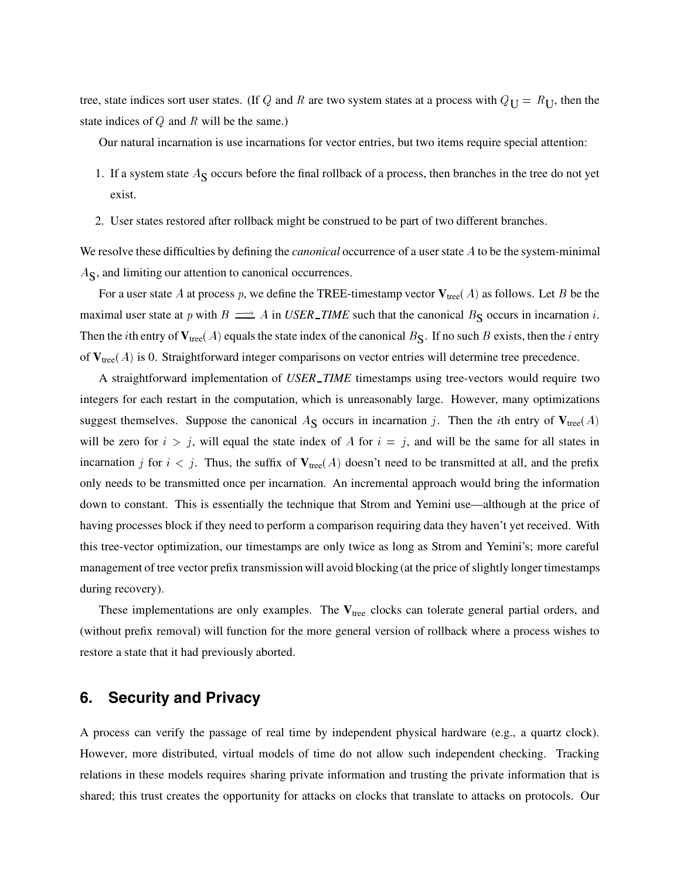tree, state indices sort user states. (If Q and R are two system states at a process with  $Q_U = R_U$ , then the state indices of  $Q$  and  $R$  will be the same.)

Our natural incarnation is use incarnations for vector entries, but two items require special attention:

- 1. If a system state  $A<sub>S</sub>$  occurs before the final rollback of a process, then branches in the tree do not yet exist.
- 2. User states restored after rollback might be construed to be part of two different branches.

We resolve these difficulties by defining the *canonical* occurrence of a user state A to be the system-minimal  $A_{\rm S}$ , and limiting our attention to canonical occurrences.

For a user state  $A$  at process  $p$ , we define the TREE-timestamp vector  $\mathbf{V}_{\text{tree}}(A)$  as follows. Let  $B$  be the maximal user state at p with  $B \implies A$  in *USER\_TIME* such that the canonical  $B_S$  occurs in incarnation i. Then the *i*th entry of  $V_{tree}(A)$  equals the state index of the canonical  $B_S$ . If no such B exists, then the *i* entry of  $V_{tree}(A)$  is 0. Straightforward integer comparisons on vector entries will determine tree precedence.

A straightforward implementation of *USER TIME* timestamps using tree-vectors would require two integers for each restart in the computation, which is unreasonably large. However, many optimizations suggest themselves. Suppose the canonical  $A_{\mathbf{S}}$  occurs in incarnation j. Then the *i*th entry of  $\mathbf{V}_{\text{tree}}(A)$ will be zero for  $i > j$ , will equal the state index of A for  $i = j$ , and will be the same for all states in incarnation j for  $i < j$ . Thus, the suffix of  $V_{tree}(A)$  doesn't need to be transmitted at all, and the prefix only needs to be transmitted once per incarnation. An incremental approach would bring the information down to constant. This is essentially the technique that Strom and Yemini use—although at the price of having processes block if they need to perform a comparison requiring data they haven't yet received. With this tree-vector optimization, our timestamps are only twice as long as Strom and Yemini's; more careful management of tree vector prefix transmission will avoid blocking (at the price of slightly longer timestamps during recovery).

These implementations are only examples. The V<sub>tree</sub> clocks can tolerate general partial orders, and (without prefix removal) will function for the more general version of rollback where a process wishes to restore a state that it had previously aborted.

## **6. Security and Privacy**

A process can verify the passage of real time by independent physical hardware (e.g., a quartz clock). However, more distributed, virtual models of time do not allow such independent checking. Tracking relations in these models requires sharing private information and trusting the private information that is shared; this trust creates the opportunity for attacks on clocks that translate to attacks on protocols. Our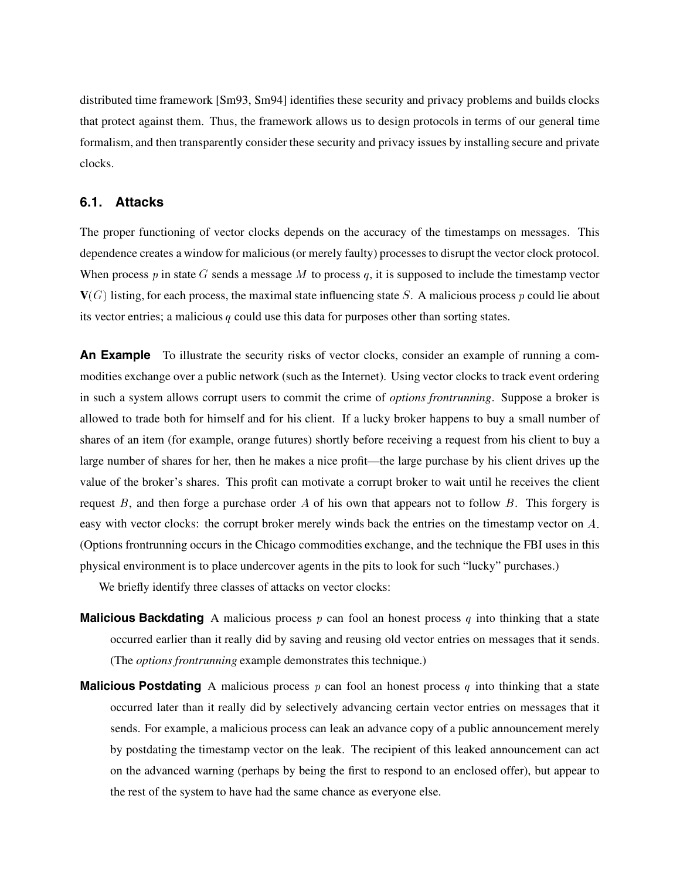distributed time framework [Sm93, Sm94] identifies these security and privacy problems and builds clocks that protect against them. Thus, the framework allows us to design protocols in terms of our general time formalism, and then transparently consider these security and privacy issues by installing secure and private clocks.

#### **6.1. Attacks**

The proper functioning of vector clocks depends on the accuracy of the timestamps on messages. This dependence creates a window for malicious (or merely faulty) processes to disrupt the vector clock protocol. When process  $p$  in state G sends a message M to process  $q$ , it is supposed to include the timestamp vector  $V(G)$  listing, for each process, the maximal state influencing state S. A malicious process p could lie about its vector entries; a malicious  $q$  could use this data for purposes other than sorting states.

**An Example** To illustrate the security risks of vector clocks, consider an example of running a commodities exchange over a public network (such as the Internet). Using vector clocks to track event ordering in such a system allows corrupt users to commit the crime of *options frontrunning*. Suppose a broker is allowed to trade both for himself and for his client. If a lucky broker happens to buy a small number of shares of an item (for example, orange futures) shortly before receiving a request from his client to buy a large number of shares for her, then he makes a nice profit—the large purchase by his client drives up the value of the broker's shares. This profit can motivate a corrupt broker to wait until he receives the client request  $B$ , and then forge a purchase order  $A$  of his own that appears not to follow  $B$ . This forgery is easy with vector clocks: the corrupt broker merely winds back the entries on the timestamp vector on A. (Options frontrunning occurs in the Chicago commodities exchange, and the technique the FBI uses in this physical environment is to place undercover agents in the pits to look for such "lucky" purchases.)

We briefly identify three classes of attacks on vector clocks:

- **Malicious Backdating** A malicious process  $p$  can fool an honest process  $q$  into thinking that a state occurred earlier than it really did by saving and reusing old vector entries on messages that it sends. (The *options frontrunning* example demonstrates this technique.)
- **Malicious Postdating** A malicious process p can fool an honest process q into thinking that a state occurred later than it really did by selectively advancing certain vector entries on messages that it sends. For example, a malicious process can leak an advance copy of a public announcement merely by postdating the timestamp vector on the leak. The recipient of this leaked announcement can act on the advanced warning (perhaps by being the first to respond to an enclosed offer), but appear to the rest of the system to have had the same chance as everyone else.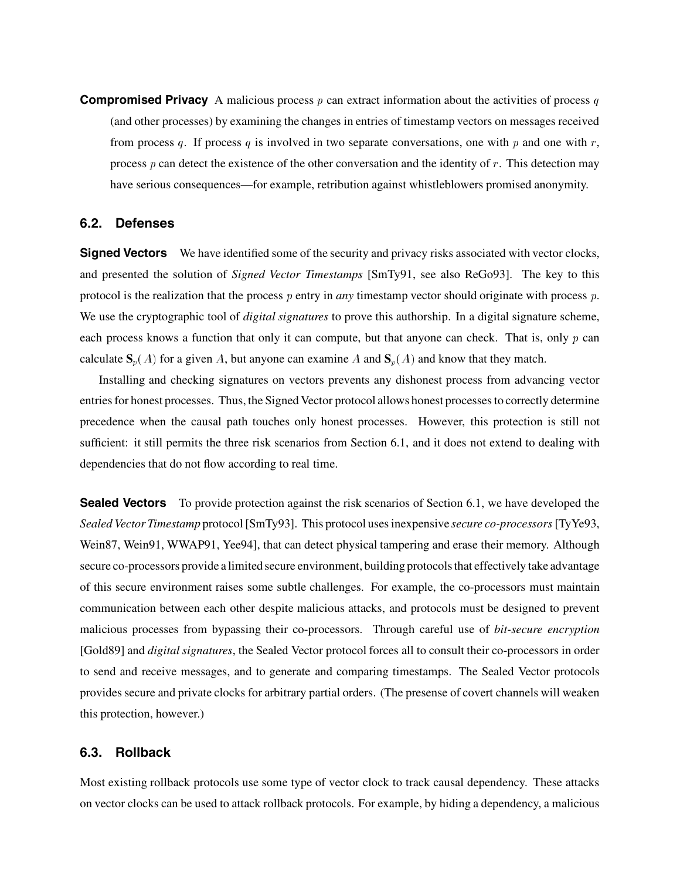**Compromised Privacy** A malicious process p can extract information about the activities of process q (and other processes) by examining the changes in entries of timestamp vectors on messages received from process q. If process q is involved in two separate conversations, one with p and one with r, process  $p$  can detect the existence of the other conversation and the identity of  $r$ . This detection may have serious consequences—for example, retribution against whistleblowers promised anonymity.

#### **6.2. Defenses**

**Signed Vectors** We have identified some of the security and privacy risks associated with vector clocks, and presented the solution of *Signed Vector Timestamps* [SmTy91, see also ReGo93]. The key to this protocol is the realization that the process p entry in *any* timestamp vector should originate with process p. We use the cryptographic tool of *digital signatures* to prove this authorship. In a digital signature scheme, each process knows a function that only it can compute, but that anyone can check. That is, only  $p$  can calculate  $S_p(A)$  for a given A, but anyone can examine A and  $S_p(A)$  and know that they match.

Installing and checking signatures on vectors prevents any dishonest process from advancing vector entries for honest processes. Thus, the Signed Vector protocol allows honest processes to correctly determine precedence when the causal path touches only honest processes. However, this protection is still not sufficient: it still permits the three risk scenarios from Section 6.1, and it does not extend to dealing with dependencies that do not flow according to real time.

**Sealed Vectors** To provide protection against the risk scenarios of Section 6.1, we have developed the *Sealed Vector Timestamp* protocol [SmTy93]. This protocol uses inexpensive *secure co-processors*[TyYe93, Wein87, Wein91, WWAP91, Yee94], that can detect physical tampering and erase their memory. Although secure co-processors provide a limited secure environment, building protocols that effectively take advantage of this secure environment raises some subtle challenges. For example, the co-processors must maintain communication between each other despite malicious attacks, and protocols must be designed to prevent malicious processes from bypassing their co-processors. Through careful use of *bit-secure encryption* [Gold89] and *digital signatures*, the Sealed Vector protocol forces all to consult their co-processors in order to send and receive messages, and to generate and comparing timestamps. The Sealed Vector protocols provides secure and private clocks for arbitrary partial orders. (The presense of covert channels will weaken this protection, however.)

### **6.3. Rollback**

Most existing rollback protocols use some type of vector clock to track causal dependency. These attacks on vector clocks can be used to attack rollback protocols. For example, by hiding a dependency, a malicious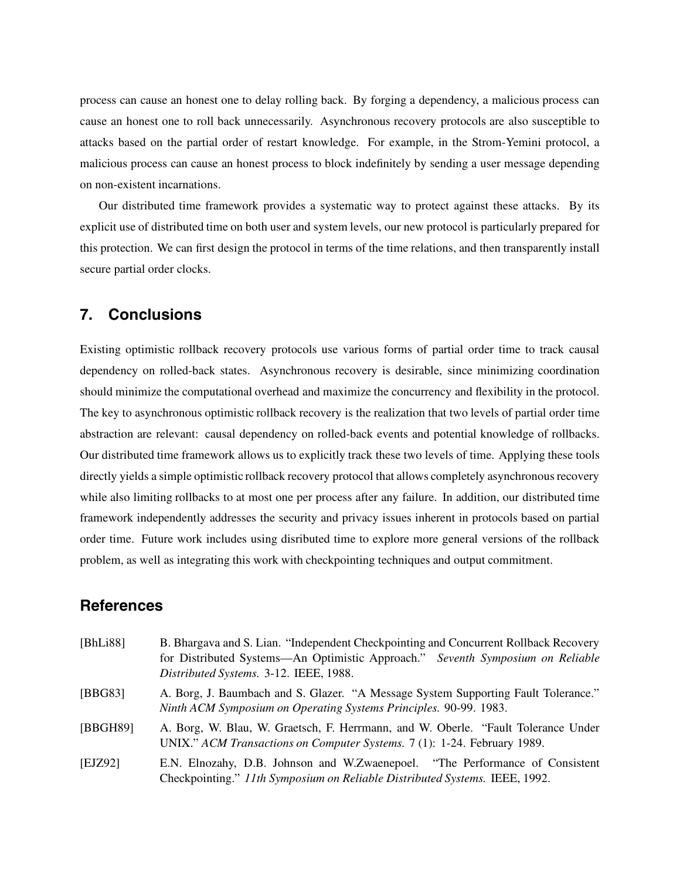process can cause an honest one to delay rolling back. By forging a dependency, a malicious process can cause an honest one to roll back unnecessarily. Asynchronous recovery protocols are also susceptible to attacks based on the partial order of restart knowledge. For example, in the Strom-Yemini protocol, a malicious process can cause an honest process to block indefinitely by sending a user message depending on non-existent incarnations.

Our distributed time framework provides a systematic way to protect against these attacks. By its explicit use of distributed time on both user and system levels, our new protocol is particularly prepared for this protection. We can first design the protocol in terms of the time relations, and then transparently install secure partial order clocks.

## **7. Conclusions**

Existing optimistic rollback recovery protocols use various forms of partial order time to track causal dependency on rolled-back states. Asynchronous recovery is desirable, since minimizing coordination should minimize the computational overhead and maximize the concurrency and flexibility in the protocol. The key to asynchronous optimistic rollback recovery is the realization that two levels of partial order time abstraction are relevant: causal dependency on rolled-back events and potential knowledge of rollbacks. Our distributed time framework allows us to explicitly track these two levels of time. Applying these tools directly yields a simple optimistic rollback recovery protocol that allows completely asynchronous recovery while also limiting rollbacks to at most one per process after any failure. In addition, our distributed time framework independently addresses the security and privacy issues inherent in protocols based on partial order time. Future work includes using disributed time to explore more general versions of the rollback problem, as well as integrating this work with checkpointing techniques and output commitment.

# **References**

| [BhLi88] | B. Bhargava and S. Lian. "Independent Checkpointing and Concurrent Rollback Recovery<br>for Distributed Systems—An Optimistic Approach." Seventh Symposium on Reliable<br>Distributed Systems. 3-12. IEEE, 1988. |
|----------|------------------------------------------------------------------------------------------------------------------------------------------------------------------------------------------------------------------|
| [BBG83]  | A. Borg, J. Baumbach and S. Glazer. "A Message System Supporting Fault Tolerance."<br>Ninth ACM Symposium on Operating Systems Principles. 90-99. 1983.                                                          |
| [BBGH89] | A. Borg, W. Blau, W. Graetsch, F. Herrmann, and W. Oberle. "Fault Tolerance Under<br>UNIX." ACM Transactions on Computer Systems. 7 (1): 1-24. February 1989.                                                    |
| [EJZ92]  | E.N. Elnozahy, D.B. Johnson and W.Zwaenepoel. "The Performance of Consistent<br>Checkpointing." 11th Symposium on Reliable Distributed Systems. IEEE, 1992.                                                      |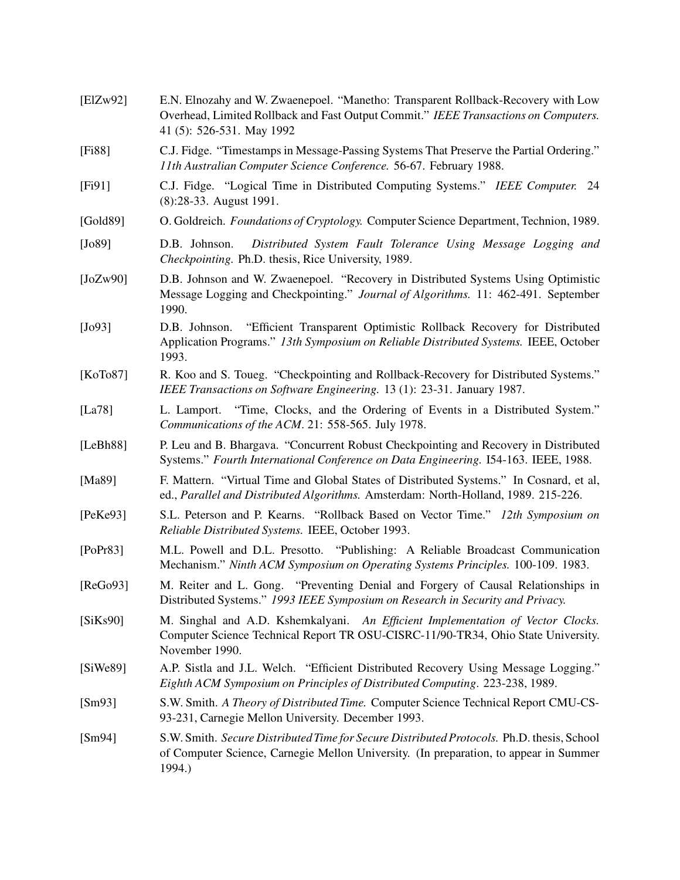| [EIZw92] | E.N. Elnozahy and W. Zwaenepoel. "Manetho: Transparent Rollback-Recovery with Low<br>Overhead, Limited Rollback and Fast Output Commit." IEEE Transactions on Computers.<br>41 (5): 526-531. May 1992 |
|----------|-------------------------------------------------------------------------------------------------------------------------------------------------------------------------------------------------------|
| [Fi88]   | C.J. Fidge. "Timestamps in Message-Passing Systems That Preserve the Partial Ordering."<br>11th Australian Computer Science Conference. 56-67. February 1988.                                         |
| [Fi91]   | C.J. Fidge. "Logical Time in Distributed Computing Systems." IEEE Computer. 24<br>(8):28-33. August 1991.                                                                                             |
| [Gold89] | O. Goldreich. Foundations of Cryptology. Computer Science Department, Technion, 1989.                                                                                                                 |
| [Jo89]   | Distributed System Fault Tolerance Using Message Logging and<br>D.B. Johnson.<br>Checkpointing. Ph.D. thesis, Rice University, 1989.                                                                  |
| [JoZw90] | D.B. Johnson and W. Zwaenepoel. "Recovery in Distributed Systems Using Optimistic<br>Message Logging and Checkpointing." Journal of Algorithms. 11: 462-491. September<br>1990.                       |
| $[Jo93]$ | "Efficient Transparent Optimistic Rollback Recovery for Distributed<br>D.B. Johnson.<br>Application Programs." 13th Symposium on Reliable Distributed Systems. IEEE, October<br>1993.                 |
| [KoTo87] | R. Koo and S. Toueg. "Checkpointing and Rollback-Recovery for Distributed Systems."<br>IEEE Transactions on Software Engineering. 13 (1): 23-31. January 1987.                                        |
| [La78]   | L. Lamport. "Time, Clocks, and the Ordering of Events in a Distributed System."<br>Communications of the ACM. 21: 558-565. July 1978.                                                                 |
| [LeBh88] | P. Leu and B. Bhargava. "Concurrent Robust Checkpointing and Recovery in Distributed<br>Systems." Fourth International Conference on Data Engineering. I54-163. IEEE, 1988.                           |
| [Ma89]   | F. Mattern. "Virtual Time and Global States of Distributed Systems." In Cosnard, et al,<br>ed., Parallel and Distributed Algorithms. Amsterdam: North-Holland, 1989. 215-226.                         |
| [PeKe93] | S.L. Peterson and P. Kearns. "Rollback Based on Vector Time." 12th Symposium on<br>Reliable Distributed Systems. IEEE, October 1993.                                                                  |
| [PoPr83] | M.L. Powell and D.L. Presotto. "Publishing: A Reliable Broadcast Communication<br>Mechanism." Ninth ACM Symposium on Operating Systems Principles. 100-109. 1983.                                     |
| [ReGo93] | M. Reiter and L. Gong. "Preventing Denial and Forgery of Causal Relationships in<br>Distributed Systems." 1993 IEEE Symposium on Research in Security and Privacy.                                    |
| [SiKs90] | M. Singhal and A.D. Kshemkalyani. An Efficient Implementation of Vector Clocks.<br>Computer Science Technical Report TR OSU-CISRC-11/90-TR34, Ohio State University.<br>November 1990.                |
| [SiWe89] | A.P. Sistla and J.L. Welch. "Efficient Distributed Recovery Using Message Logging."<br>Eighth ACM Symposium on Principles of Distributed Computing. 223-238, 1989.                                    |
| [Sm93]   | S.W. Smith. A Theory of Distributed Time. Computer Science Technical Report CMU-CS-<br>93-231, Carnegie Mellon University. December 1993.                                                             |
| [Sm94]   | S.W. Smith. Secure Distributed Time for Secure Distributed Protocols. Ph.D. thesis, School<br>of Computer Science, Carnegie Mellon University. (In preparation, to appear in Summer<br>1994.)         |